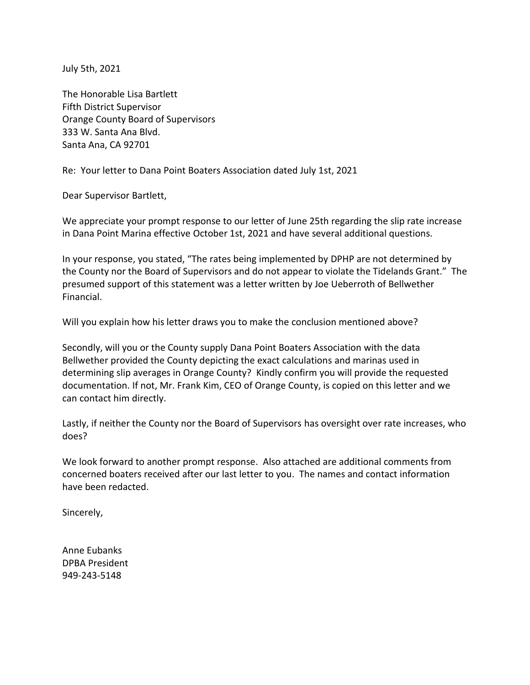July 5th, 2021

The Honorable Lisa Bartlett Fifth District Supervisor Orange County Board of Supervisors 333 W. Santa Ana Blvd. Santa Ana, CA 92701

Re: Your letter to Dana Point Boaters Association dated July 1st, 2021

Dear Supervisor Bartlett,

We appreciate your prompt response to our letter of June 25th regarding the slip rate increase in Dana Point Marina effective October 1st, 2021 and have several additional questions.

In your response, you stated, "The rates being implemented by DPHP are not determined by the County nor the Board of Supervisors and do not appear to violate the Tidelands Grant." The presumed support of this statement was a letter written by Joe Ueberroth of Bellwether Financial.

Will you explain how his letter draws you to make the conclusion mentioned above?

Secondly, will you or the County supply Dana Point Boaters Association with the data Bellwether provided the County depicting the exact calculations and marinas used in determining slip averages in Orange County? Kindly confirm you will provide the requested documentation. If not, Mr. Frank Kim, CEO of Orange County, is copied on this letter and we can contact him directly.

Lastly, if neither the County nor the Board of Supervisors has oversight over rate increases, who does?

We look forward to another prompt response. Also attached are additional comments from concerned boaters received after our last letter to you. The names and contact information have been redacted.

Sincerely,

Anne Eubanks DPBA President 949-243-5148